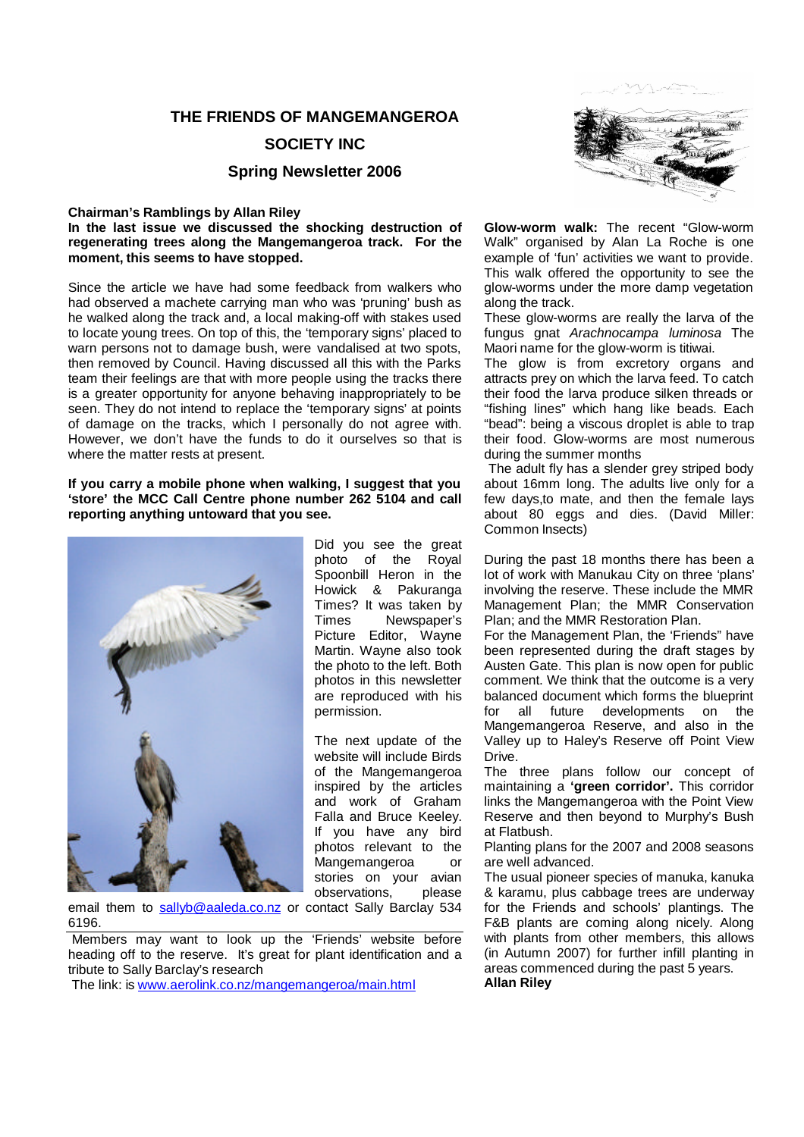### **THE FRIENDS OF MANGEMANGEROA**

#### **SOCIETY INC**

#### **Spring Newsletter 2006**

#### **Chairman's Ramblings by Allan Riley**

**In the last issue we discussed the shocking destruction of regenerating trees along the Mangemangeroa track. For the moment, this seems to have stopped.**

Since the article we have had some feedback from walkers who had observed a machete carrying man who was 'pruning' bush as he walked along the track and, a local making-off with stakes used to locate young trees. On top of this, the 'temporary signs' placed to warn persons not to damage bush, were vandalised at two spots, then removed by Council. Having discussed all this with the Parks team their feelings are that with more people using the tracks there is a greater opportunity for anyone behaving inappropriately to be seen. They do not intend to replace the 'temporary signs' at points of damage on the tracks, which I personally do not agree with. However, we don't have the funds to do it ourselves so that is where the matter rests at present.

#### **If you carry a mobile phone when walking, I suggest that you 'store' the MCC Call Centre phone number 262 5104 and call reporting anything untoward that you see.**



Did you see the great photo of the Royal Spoonbill Heron in the Howick & Pakuranga Times? It was taken by Times Newspaper's Picture Editor, Wayne Martin. Wayne also took the photo to the left. Both photos in this newsletter are reproduced with his permission.

The next update of the website will include Birds of the Mangemangeroa inspired by the articles and work of Graham Falla and Bruce Keeley. If you have any bird photos relevant to the Mangemangeroa or stories on your avian observations, please

email them to sallyb@aaleda.co.nz or contact Sally Barclay 534 6196.

 Members may want to look up the 'Friends' website before heading off to the reserve. It's great for plant identification and a tribute to Sally Barclay's research

The link: is www.aerolink.co.nz/mangemangeroa/main.html



**Glow-worm walk:** The recent "Glow-worm Walk" organised by Alan La Roche is one example of 'fun' activities we want to provide. This walk offered the opportunity to see the glow-worms under the more damp vegetation along the track.

These glow-worms are really the larva of the fungus gnat *Arachnocampa luminosa* The Maori name for the glow-worm is titiwai.

The glow is from excretory organs and attracts prey on which the larva feed. To catch their food the larva produce silken threads or "fishing lines" which hang like beads. Each "bead": being a viscous droplet is able to trap their food. Glow-worms are most numerous during the summer months

 The adult fly has a slender grey striped body about 16mm long. The adults live only for a few days,to mate, and then the female lays about 80 eggs and dies. (David Miller: Common Insects)

During the past 18 months there has been a lot of work with Manukau City on three 'plans' involving the reserve. These include the MMR Management Plan; the MMR Conservation Plan; and the MMR Restoration Plan.

For the Management Plan, the 'Friends" have been represented during the draft stages by Austen Gate. This plan is now open for public comment. We think that the outcome is a very balanced document which forms the blueprint for all future developments on the Mangemangeroa Reserve, and also in the Valley up to Haley's Reserve off Point View Drive.

The three plans follow our concept of maintaining a **'green corridor'.** This corridor links the Mangemangeroa with the Point View Reserve and then beyond to Murphy's Bush at Flatbush.

Planting plans for the 2007 and 2008 seasons are well advanced.

The usual pioneer species of manuka, kanuka & karamu, plus cabbage trees are underway for the Friends and schools' plantings. The F&B plants are coming along nicely. Along with plants from other members, this allows (in Autumn 2007) for further infill planting in areas commenced during the past 5 years. **Allan Riley**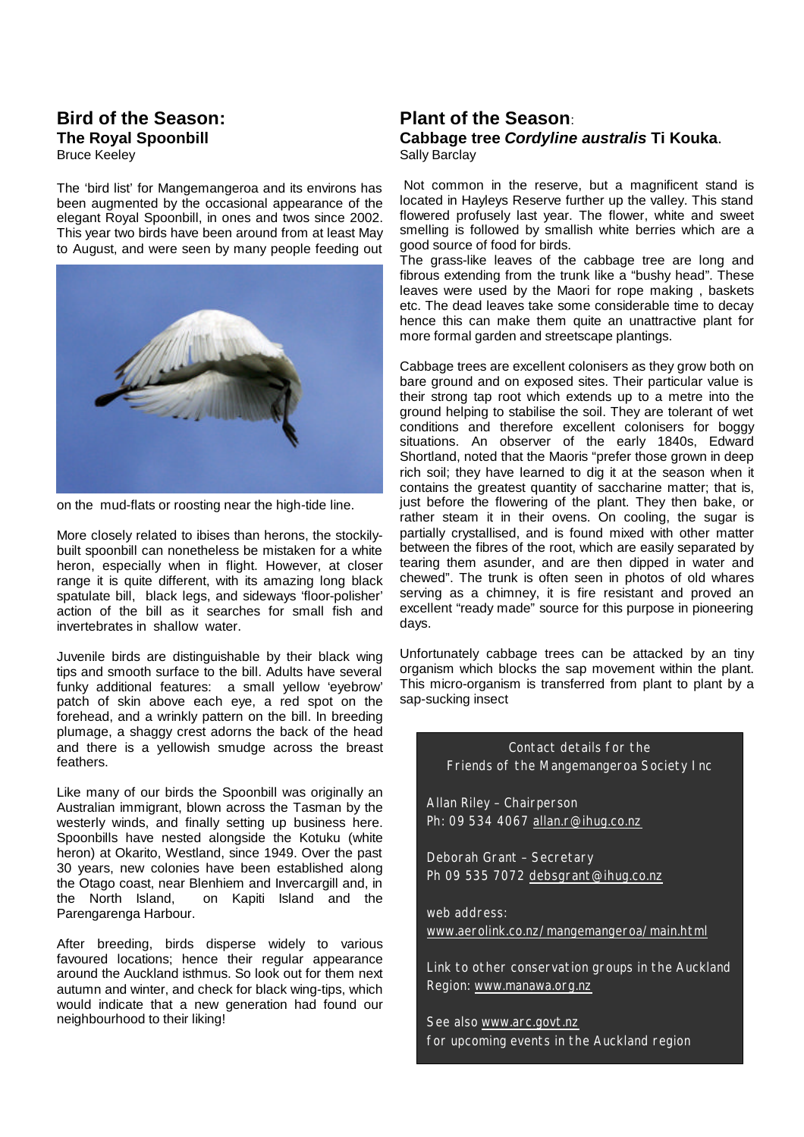### **Bird of the Season: The Royal Spoonbill** Bruce Keeley

The 'bird list' for Mangemangeroa and its environs has been augmented by the occasional appearance of the elegant Royal Spoonbill, in ones and twos since 2002. This year two birds have been around from at least May to August, and were seen by many people feeding out



on the mud-flats or roosting near the high-tide line.

More closely related to ibises than herons, the stockilybuilt spoonbill can nonetheless be mistaken for a white heron, especially when in flight. However, at closer range it is quite different, with its amazing long black spatulate bill, black legs, and sideways 'floor-polisher' action of the bill as it searches for small fish and invertebrates in shallow water.

Juvenile birds are distinguishable by their black wing tips and smooth surface to the bill. Adults have several funky additional features: a small yellow 'eyebrow' patch of skin above each eye, a red spot on the forehead, and a wrinkly pattern on the bill. In breeding plumage, a shaggy crest adorns the back of the head and there is a yellowish smudge across the breast feathers.

Like many of our birds the Spoonbill was originally an Australian immigrant, blown across the Tasman by the westerly winds, and finally setting up business here. Spoonbills have nested alongside the Kotuku (white heron) at Okarito, Westland, since 1949. Over the past 30 years, new colonies have been established along the Otago coast, near Blenhiem and Invercargill and, in the North Island, on Kapiti Island and the Parengarenga Harbour.

After breeding, birds disperse widely to various favoured locations; hence their regular appearance around the Auckland isthmus. So look out for them next autumn and winter, and check for black wing-tips, which would indicate that a new generation had found our neighbourhood to their liking!

### **Plant of the Season**: **Cabbage tree** *Cordyline australis* **Ti Kouka**. Sally Barclay

 Not common in the reserve, but a magnificent stand is located in Hayleys Reserve further up the valley. This stand flowered profusely last year. The flower, white and sweet smelling is followed by smallish white berries which are a good source of food for birds.

The grass-like leaves of the cabbage tree are long and fibrous extending from the trunk like a "bushy head". These leaves were used by the Maori for rope making , baskets etc. The dead leaves take some considerable time to decay hence this can make them quite an unattractive plant for more formal garden and streetscape plantings.

Cabbage trees are excellent colonisers as they grow both on bare ground and on exposed sites. Their particular value is their strong tap root which extends up to a metre into the ground helping to stabilise the soil. They are tolerant of wet conditions and therefore excellent colonisers for boggy situations. An observer of the early 1840s, Edward Shortland, noted that the Maoris "prefer those grown in deep rich soil; they have learned to dig it at the season when it contains the greatest quantity of saccharine matter; that is, just before the flowering of the plant. They then bake, or rather steam it in their ovens. On cooling, the sugar is partially crystallised, and is found mixed with other matter between the fibres of the root, which are easily separated by tearing them asunder, and are then dipped in water and chewed". The trunk is often seen in photos of old whares serving as a chimney, it is fire resistant and proved an excellent "ready made" source for this purpose in pioneering days.

Unfortunately cabbage trees can be attacked by an tiny organism which blocks the sap movement within the plant. This micro-organism is transferred from plant to plant by a sap-sucking insect

Contact details for the Friends of the Mangemangeroa Society Inc Allan Riley – Chairperson Ph: 09 534 4067 allan.r@ihug.co.nz Deborah Grant – Secretary Ph 09 535 7072 debsgrant@ihug.co.nz web address: www.aerolink.co.nz/mangemangeroa/main.html Link to other conservation groups in the Auckland Region: www.manawa.org.nz See also www.arc.govt.nz for upcoming events in the Auckland region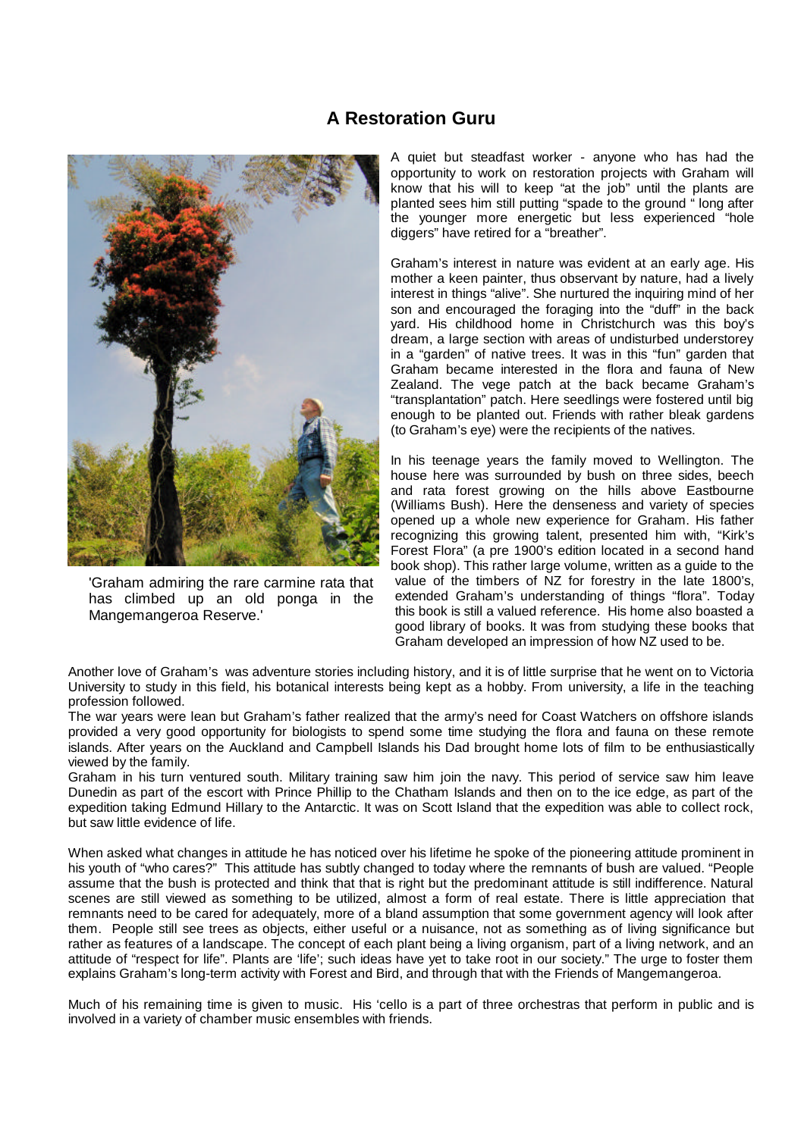### **A Restoration Guru**



'Graham admiring the rare carmine rata that has climbed up an old ponga in the Mangemangeroa Reserve.'

A quiet but steadfast worker - anyone who has had the opportunity to work on restoration projects with Graham will know that his will to keep "at the job" until the plants are planted sees him still putting "spade to the ground " long after the younger more energetic but less experienced "hole diggers" have retired for a "breather".

Graham's interest in nature was evident at an early age. His mother a keen painter, thus observant by nature, had a lively interest in things "alive". She nurtured the inquiring mind of her son and encouraged the foraging into the "duff" in the back yard. His childhood home in Christchurch was this boy's dream, a large section with areas of undisturbed understorey in a "garden" of native trees. It was in this "fun" garden that Graham became interested in the flora and fauna of New Zealand. The vege patch at the back became Graham's "transplantation" patch. Here seedlings were fostered until big enough to be planted out. Friends with rather bleak gardens (to Graham's eye) were the recipients of the natives.

In his teenage years the family moved to Wellington. The house here was surrounded by bush on three sides, beech and rata forest growing on the hills above Eastbourne (Williams Bush). Here the denseness and variety of species opened up a whole new experience for Graham. His father recognizing this growing talent, presented him with, "Kirk's Forest Flora" (a pre 1900's edition located in a second hand book shop). This rather large volume, written as a guide to the value of the timbers of NZ for forestry in the late 1800's, extended Graham's understanding of things "flora". Today this book is still a valued reference. His home also boasted a good library of books. It was from studying these books that Graham developed an impression of how NZ used to be.

Another love of Graham's was adventure stories including history, and it is of little surprise that he went on to Victoria University to study in this field, his botanical interests being kept as a hobby. From university, a life in the teaching profession followed.

The war years were lean but Graham's father realized that the army's need for Coast Watchers on offshore islands provided a very good opportunity for biologists to spend some time studying the flora and fauna on these remote islands. After years on the Auckland and Campbell Islands his Dad brought home lots of film to be enthusiastically viewed by the family.

Graham in his turn ventured south. Military training saw him join the navy. This period of service saw him leave Dunedin as part of the escort with Prince Phillip to the Chatham Islands and then on to the ice edge, as part of the expedition taking Edmund Hillary to the Antarctic. It was on Scott Island that the expedition was able to collect rock, but saw little evidence of life.

When asked what changes in attitude he has noticed over his lifetime he spoke of the pioneering attitude prominent in his youth of "who cares?" This attitude has subtly changed to today where the remnants of bush are valued. "People assume that the bush is protected and think that that is right but the predominant attitude is still indifference. Natural scenes are still viewed as something to be utilized, almost a form of real estate. There is little appreciation that remnants need to be cared for adequately, more of a bland assumption that some government agency will look after them. People still see trees as objects, either useful or a nuisance, not as something as of living significance but rather as features of a landscape. The concept of each plant being a living organism, part of a living network, and an attitude of "respect for life". Plants are 'life'; such ideas have yet to take root in our society." The urge to foster them explains Graham's long-term activity with Forest and Bird, and through that with the Friends of Mangemangeroa.

Much of his remaining time is given to music. His 'cello is a part of three orchestras that perform in public and is involved in a variety of chamber music ensembles with friends.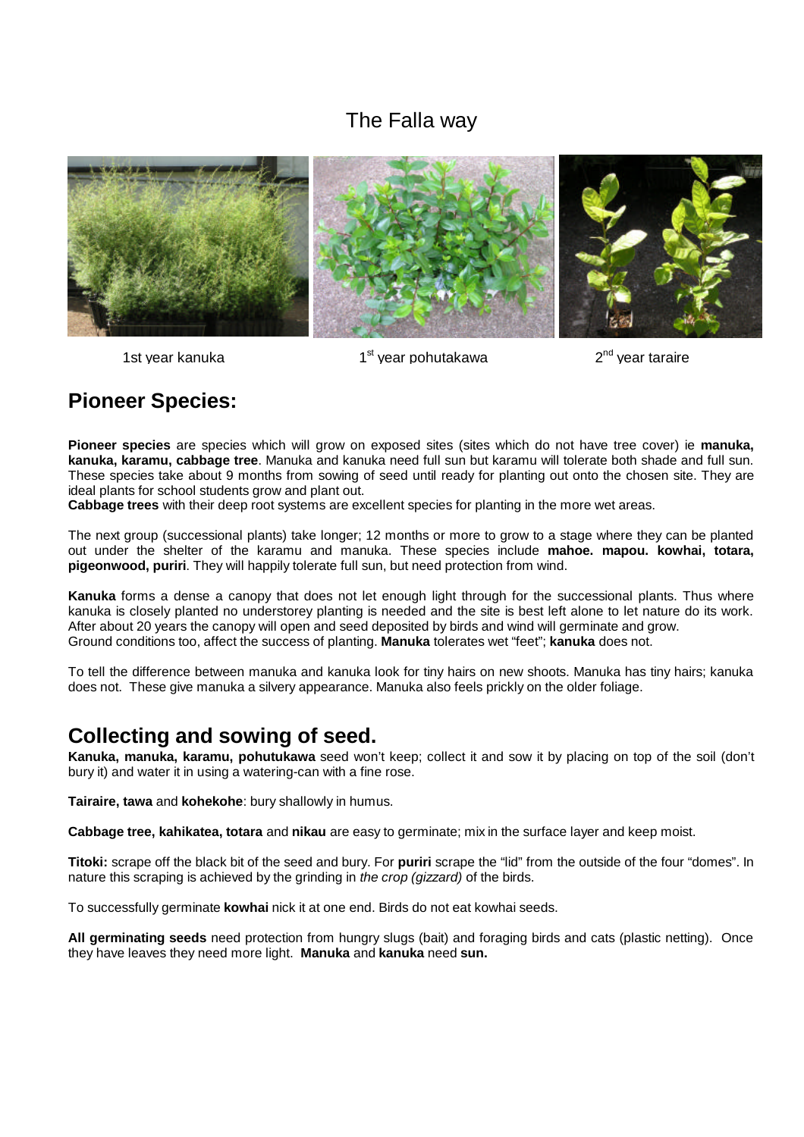# The Falla way



1st year kanuka

 $1<sup>st</sup>$  year pohutakawa

 $2<sup>nd</sup>$  vear taraire

# **Pioneer Species:**

**Pioneer species** are species which will grow on exposed sites (sites which do not have tree cover) ie **manuka, kanuka, karamu, cabbage tree**. Manuka and kanuka need full sun but karamu will tolerate both shade and full sun. These species take about 9 months from sowing of seed until ready for planting out onto the chosen site. They are ideal plants for school students grow and plant out.

**Cabbage trees** with their deep root systems are excellent species for planting in the more wet areas.

The next group (successional plants) take longer; 12 months or more to grow to a stage where they can be planted out under the shelter of the karamu and manuka. These species include **mahoe. mapou. kowhai, totara, pigeonwood, puriri**. They will happily tolerate full sun, but need protection from wind.

**Kanuka** forms a dense a canopy that does not let enough light through for the successional plants. Thus where kanuka is closely planted no understorey planting is needed and the site is best left alone to let nature do its work. After about 20 years the canopy will open and seed deposited by birds and wind will germinate and grow. Ground conditions too, affect the success of planting. **Manuka** tolerates wet "feet"; **kanuka** does not.

To tell the difference between manuka and kanuka look for tiny hairs on new shoots. Manuka has tiny hairs; kanuka does not. These give manuka a silvery appearance. Manuka also feels prickly on the older foliage.

# **Collecting and sowing of seed.**

**Kanuka, manuka, karamu, pohutukawa** seed won't keep; collect it and sow it by placing on top of the soil (don't bury it) and water it in using a watering-can with a fine rose.

**Tairaire, tawa** and **kohekohe**: bury shallowly in humus.

**Cabbage tree, kahikatea, totara** and **nikau** are easy to germinate; mix in the surface layer and keep moist.

**Titoki:** scrape off the black bit of the seed and bury. For **puriri** scrape the "lid" from the outside of the four "domes". In nature this scraping is achieved by the grinding in *the crop (gizzard)* of the birds.

To successfully germinate **kowhai** nick it at one end. Birds do not eat kowhai seeds.

**All germinating seeds** need protection from hungry slugs (bait) and foraging birds and cats (plastic netting). Once they have leaves they need more light. **Manuka** and **kanuka** need **sun.**